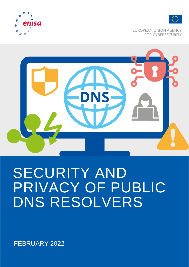



**EUROPEAN UNION AGENCY FOR CYBERSECURITY** 



# SECURITY AND PRIVACY OF PUBLIC DNS RESOLVERS

FEBRUARY 2022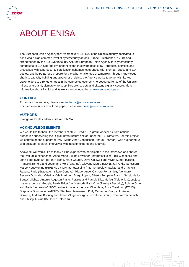

# ABOUT ENISA

The European Union Agency for Cybersecurity, ENISA, is the Union's agency dedicated to achieving a high common level of cybersecurity across Europe. Established in 2004 and strengthened by the EU Cybersecurity Act, the European Union Agency for Cybersecurity contributes to EU cyber policy, enhances the trustworthiness of ICT products, services and processes with cybersecurity certification schemes, cooperates with Member States and EU bodies, and helps Europe prepare for the cyber challenges of tomorrow. Through knowledge sharing, capacity building and awareness raising, the Agency works together with its key stakeholders to strengthen trust in the connected economy, to boost resilience of the Union's infrastructure and, ultimately, to keep Europe's society and citizens digitally secure. More information about ENISA and its work can be found here: [www.enisa.europa.eu.](http://www.enisa.europa.eu/)

# **CONTACT**

To contact the authors, please use [resilience@enisa.europa.eu](mailto:resilience@enisa.europa.eu) For media enquiries about this paper, please use [press@enisa.europa.eu.](mailto:press@enisa.europa.eu)

### **AUTHORS**

Evangelos Kantas, Marnix Dekker, ENISA

### **ACKNOWLEDGEMENTS**

We would like to thank the members of NIS CG WS10, a group of experts from national authorities supervising the Digital Infrastructure sector under the NIS Directive. For this project we contracted the support of DNV (Maria Jinert Johansson, Shaun Reardon), who supported us with desktop research, interviews with industry experts and analysis.

Above all, we would like to thank all the experts who participated in the interviews and shared their valuable experience: Anne-Marie Eklund Lowinder (Internetstitifelse), Bill Woodcock and John Todd (Quad9), Byron Holland, Mark Gaudet, Dave Chiswell and Vivek Kumar (CIRA), Francois Zamora and Jeanmarie Mele (Orange), Giovane Moura (SIDN), Jari Arkko (Ericsson), Marco Hogewoning (RIPE NCC), Michael Hausding (Internet Society, Switzerland Chapter), Roxana Radu (Graduate Institute Geneva), Miguel Angel Carnero Fernandez, Alejandro Becerra Gonzalez, Cristina Vela Marimon, Diego Lopez, Alberto Sempere Blanco, Sergio de los Santos Vilchez, Antonio Augustin Pastor Perales and Patricia Diez Muñoz (Telefonica), subject matter experts at Google, Patrik Fältström (Netnod), Paul Vixie (Farsight Security), Robbie Grue and Reda Jaaouani (CISCO), subject matter experts at Cloudflare, Ross Creelman (ETNO), Stéphane Bortzmeyer (AFNIC), Stephen Hermanson, Polly Cameron, Gianpaolo Angelo Scalone, Andreas Kohring and Javier Villegas-Burgos (Vodafone Group), Thomas Tschersich and Philipp Trinius (Deutsche Telecom).

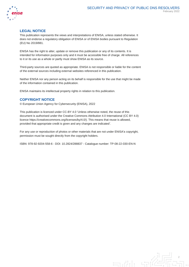

# **LEGAL NOTICE**

This publication represents the views and interpretations of ENISA, unless stated otherwise. It does not endorse a regulatory obligation of ENISA or of ENISA bodies pursuant to Regulation (EU) No 2019/881.

ENISA has the right to alter, update or remove this publication or any of its contents. It is intended for information purposes only and it must be accessible free of charge. All references to it or its use as a whole or partly must show ENISA as its source.

Third-party sources are quoted as appropriate. ENISA is not responsible or liable for the content of the external sources including external websites referenced in this publication.

Neither ENISA nor any person acting on its behalf is responsible for the use that might be made of the information contained in this publication.

ENISA maintains its intellectual property rights in relation to this publication.

# **COPYRIGHT NOTICE**

© European Union Agency for Cybersecurity (ENISA), 2022

This publication is licenced under CC-BY 4.0 'Unless otherwise noted, the reuse of this document is authorised under the Creative Commons Attribution 4.0 International (CC BY 4.0) licence https://creativecommons.org/licenses/by/4.0/). This means that reuse is allowed, provided that appropriate credit is given and any changes are indicated'.

For any use or reproduction of photos or other materials that are not under ENISA's copyright, permission must be sought directly from the copyright holders.

ISBN: 978-92-9204-558-6 - DOI: 10.2824/288837 - Catalogue number: TP-08-22-030-EN-N

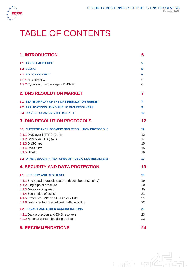

# TABLE OF CONTENTS

| <b>1. INTRODUCTION</b>                                               | 5        |
|----------------------------------------------------------------------|----------|
| <b>1.1 TARGET AUDIENCE</b>                                           | 5        |
| 1.2 SCOPE                                                            | 5        |
| <b>1.3 POLICY CONTEXT</b>                                            | 5        |
| 1.3.1 NIS Directive                                                  | 5        |
| 1.3.2 Cybersecurity package - DNS4EU                                 | 6        |
| <b>2. DNS RESOLUTION MARKET</b>                                      | 7        |
| 2.1 STATE OF PLAY OF THE DNS RESOLUTION MARKET                       | 7        |
| <b>2.2 APPLICATIONS USING PUBLIC DNS RESOLVERS</b>                   | 9        |
| <b>2.3 DRIVERS CHANGING THE MARKET</b>                               | 10       |
| <b>3. DNS RESOLUTION PROTOCOLS</b>                                   | 12       |
| <b>3.1 CURRENT AND UPCOMING DNS RESOLUTION PROTOCOLS</b>             | $12 \,$  |
| 3.1.1 DNS over HTTPS (DoH)                                           | 12       |
| 3.1.2 DNS over TLS (DoT)                                             | 14       |
| 3.1.3 DNSCrypt<br>3.1.4 DNSCurve                                     | 15<br>15 |
| 3.1.5 ODoH                                                           | 16       |
| <b>3.2 OTHER SECURITY FEATURES OF PUBLIC DNS RESOLVERS</b>           | 17       |
| <b>4. SECURITY AND DATA PROTECTION</b>                               | 19       |
| <b>4.1 SECURITY AND RESILIENCE</b>                                   | 19       |
| 4.1.1 Encrypted protocols (better privacy, better security)          | 19       |
| 4.1.2 Single point of failure                                        | 20       |
| 4.1.3 Geographic spread                                              | 20       |
| 4.1.4 Economies of scale<br>4.1.5 Protective DNS and DNS block lists | 21<br>21 |
| 4.1.6 Loss of enterprise network traffic visibility                  | 22       |
| <b>4.2 PRIVACY AND OTHER CONSIDERATIONS</b>                          | 23       |
| 4.2.1 Data protection and DNS resolvers                              | 23       |
| 4.2.2 National content blocking policies                             | 23       |
| <b>5. RECOMMENDATIONS</b>                                            | 24       |

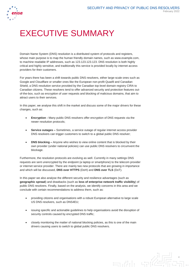

# EXECUTIVE SUMMARY

Domain Name System (DNS) resolution is a distributed system of protocols and registers, whose main purpose is to map the human friendly domain names, such as www.example.com, to machine readable IP addresses, such as 123.123.123.123. DNS resolution is both highly critical and highly sensitive, and traditionally this service is provided locally by internet access providers for their customers.

For years there has been a shift towards public DNS resolvers, either large-scale ones such as Google and Cloudflare or smaller ones like the European non-profit Quad9 and Canadian Shield, a DNS resolution service provided by the Canadian top-level domain registry CIRA to Canadian citizens. These resolvers tend to offer advanced security and protection features outof-the-box, such as encryption of user requests and blocking of malicious domains, that aim to attract users to their services.

In this paper, we analyse this shift in the market and discuss some of the major drivers for these changes, such as:

- **Encryption -** Many public DNS resolvers offer encryption of DNS requests via the newer resolution protocols;
- **Service outages –** Sometimes, a service outage of regular internet access provider DNS resolvers can trigger customers to switch to a global public DNS resolver;
- **DNS blocking -** Anyone who wishes to view online content that is blocked by their own provider (under national policies) can use public DNS resolvers to circumvent the blockage.

Furthermore, the resolution protocols are evolving as well. Currently in many settings DNS requests are sent unencrypted by the endpoint (a laptop or smartphone) to the telecom provider or internet service provider. There are mainly two new protocols that are growing in importance and which will be discussed, **DNS over HTTPS** (DoH) and **DNS over TLS** (DoT).

In this paper we also analyse the different security and resilience advantages (such as **geographic spread**) and drawbacks (such as **loss of enterprise network traffic visibility**) of public DNS resolvers. Finally, based on the analysis, we identify concerns in this area and we conclude with certain recommendations to address them, such as:

- providing citizens and organisations with a robust European alternative to large scale US DNS resolvers, such as DNS4EU;
- issuing specific and actionable guidelines to help organisations avoid the disruption of security controls caused by encrypted DNS traffic;
- closely monitoring the matter of national blocking policies, as this is one of the main drivers causing users to switch to global public DNS resolvers.

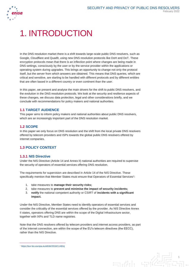

# 1. INTRODUCTION

In the DNS resolution market there is a shift towards large-scale public DNS resolvers, such as Google, Cloudflare and Quad9, using new DNS resolution protocols like DoH and DoT. These encryption protocols mean that there is an inflection point where changes are being made in DNS settings, consciously by the user or by the service provider within the applications or operating system during upgrades. This brings an opportunity to change not only the protocol itself, but the server from which answers are obtained. This means that DNS queries, which are critical and sensitive, are starting to be handled with different protocols and by different entities that are often based in a different country or even continent than the user.

In this paper, we present and analyse the main drivers for the shift to public DNS resolvers, and the evolution in the DNS resolution protocols. We look at the security and resilience aspects of these changes, we discuss data protection, legal and other considerations briefly, and we conclude with recommendations for policy makers and national authorities.

# **1.1 TARGET AUDIENCE**

This paper aims to inform policy makers and national authorities about public DNS resolvers, which are an increasingly important part of the DNS resolution market.

# **1.2 SCOPE**

In this paper we only focus on DNS resolution and the shift from the local private DNS resolvers offered by telecom providers and ISPs towards the global public DNS resolvers offered by internet companies.

# **1.3 POLICY CONTEXT**

### **1.3.1 NIS Directive**

Under the NIS Directive (Article 14 and Annex II) national authorities are required to supervise the security of operators of essential services offering DNS resolution.

The requirements for supervision are described in Article 14 of the NIS Directive. These specifically mention that Member States must ensure that Operators of Essential Services<sup>1</sup>:

- 1. take measures to **manage their security risks;**
- 2. take measures to **prevent and minimise the impact of security incidents;**
- 3. **notify** the national competent authority or CSIRT of **incidents with a significant impact.**

Under the NIS Directive, Member States need to identify operators of essential services and consider the criticality of the essential services offered by the provider. As NIS Directive Annex II states, operators offering DNS are within the scope of the Digital Infrastructure sector, together with IXPs and TLD name registries.

Note that the DNS resolvers offered by telecom providers and internet access providers, as part of the internet connection, are within the scope of the EU's telecom directives (the EECC), rather than the NIS Directive.

mili

<sup>1</sup> <https://eur-lex.europa.eu/eli/dir/2016/1148/oj>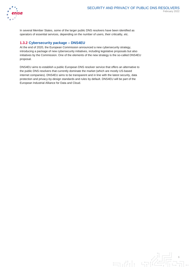

In several Member States, some of the larger public DNS resolvers have been identified as operators of essential services, depending on the number of users, their criticality, etc.

# **1.3.2 Cybersecurity package – DNS4EU**

At the end of 2020, the European Commission announced a new cybersecurity strategy, introducing a package of new cybersecurity initiatives, including legislative proposals but also initiatives by the Commission. One of the elements of the new strategy is the so-called DNS4EU proposal.

DNS4EU aims to establish a public European DNS resolver service that offers an alternative to the public DNS resolvers that currently dominate the market (which are mostly US-based internet companies). DNS4EU aims to be transparent and in line with the latest security, data protection and privacy-by-design standards and rules by default. DNS4EU will be part of the European Industrial Alliance for Data and Cloud.

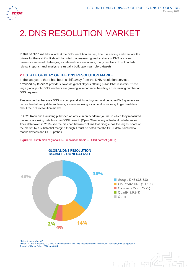

# 2. DNS RESOLUTION MARKET

In this section we take a look at the DNS resolution market, how it is shifting and what are the drivers for these shifts. It should be noted that measuring market share of DNS resolvers presents a series of challenges, as relevant data are scarce, many resolvers do not publish relevant reports, and analysis is usually built upon sample datasets.

# **2.1 STATE OF PLAY OF THE DNS RESOLUTION MARKET**

In the last years there has been a shift away from the DNS resolution services provided by telecom providers, towards global players offering public DNS resolvers. These large global public DNS resolvers are growing in importance, handling an increasing number of DNS requests.

Please note that because DNS is a complex distributed system and because DNS queries can be resolved at many different layers, sometimes using a cache, it is not easy to get hard data about the DNS resolution market.

In 2020 Radu and Hausding published an article in an academic journal in which they measured market share using data from the OONI project<sup>2</sup> (Open Observatory of Network Interference). Their data taken in 2019 (see the pie chart below) confirms that Google has the largest share of the market by a substantial margin<sup>3</sup>, though it must be noted that the OONI data is limited to mobile devices and OONI probes.



#### **Figure 1:** Distribution of global DNS resolution traffic – OONI dataset (2019)

 $\overline{a}$ 

<sup>3</sup> Radu, R. and Hausding, M., 2020. Consolidation in the DNS resolver market–how much, how fast, how dangerous?. Journal of Cyber Policy, 5(1), pp.46-64

mili

<https://ooni.org/about/>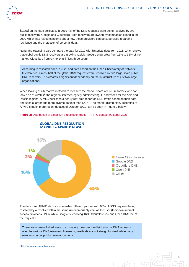# SECURITY AND PRIVACY OF PUBLIC DNS RESOLVERS February 2022



Based on the data collected, in 2019 half of the DNS requests were being resolved by two public resolvers, Google and Cloudflare. Both resolvers are owned by companies based in the USA, which has raised concerns about how these providers can be supervised regarding resilience and the protection of personal data.

Radu and Hausding also compare the data for 2019 with historical data from 2016, which shows that global public DNS resolvers are growing rapidly: Google DNS grew from 15% to 36% of the market, Cloudflare from 0% to 14% in just three years.

According to research done in 2020 and data based on the Open Observatory of Network Interference, almost half of the global DNS requests were resolved by two large-scale public DNS resolvers. This creates a significant dependency on the infrastructure of just two large organisations.

When looking at alternative methods to measure the market share of DNS resolvers, one can look also at APNIC<sup>4</sup>, the regional internet registry administering IP addresses for the Asia and Pacific regions. APNIC publishes a nearly real time report on DNS traffic based on their data and uses a larger and more diverse dataset than OONI. The market distribution, according to APNIC's much more recent dataset of October 2021, can be seen in Figure 2 below

**Figure 2:** Distribution of global DNS resolution traffic – APNIC dataset (October 2021)



#### **GLOBAL DNS RESOLUTION MARKET - APNIC DATASET**

The data form APNIC shows a somewhat different picture, with 65% of DNS requests being resolved by a resolver within the same Autonomous System as the user (their own internet access provider's DNS), while Google is resolving 16%, Cloudflare 2% and Open DNS 1% of the requests.

There are no established ways to accurately measure the distribution of DNS requests over the various DNS resolvers. Measuring methods are not straightforward, while many resolvers do not publish relevant reports.

<sup>4</sup> <https://www.apnic.net/about-apnic/>

 $\overline{a}$ 

8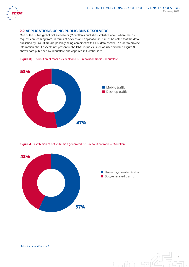

# **2.2 APPLICATIONS USING PUBLIC DNS RESOLVERS**

One of the public global DNS resolvers (Cloudflare) publishes statistics about where the DNS requests are coming from, in terms of devices and applications<sup>5</sup>. It must be noted that the data published by Cloudflare are possibly being combined with CDN data as well, in order to provide information about aspects not present in the DNS requests, such as user browser. Figure 3 shows data published by Cloudflare and captured in October 2021.





**Figure 4:** Distribution of bot vs human generated DNS resolution traffic – Cloudflare





<sup>5</sup> https://radar.cloudflare.com/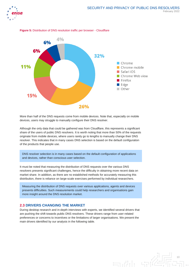



**Figure 5:** Distribution of DNS resolution traffic per browser - Cloudflare

More than half of the DNS requests come from mobile devices. Note that, especially on mobile devices, users may struggle to manually configure their DNS resolver.

Although the only data that could be gathered was from Cloudflare, this represents a significant share of the users of public DNS resolvers. It is worth noting that more than 50% of the requests originate from mobile devices, where users rarely go to lengths to manually change their DNS resolver. This indicates that in many cases DNS selection is based on the default configuration of the products that people use.

DNS resolver selection is in many cases based on the default configuration of applications and devices, rather than conscious user selection.

It must be noted that measuring the distribution of DNS requests over the various DNS resolvers presents significant challenges, hence the difficulty in obtaining more recent data on market share. In addition, as there are no established methods for accurately measuring this distribution, there is reliance on large-scale exercises performed by individual researchers.

Measuring the distribution of DNS requests over various applications, agents and devices presents difficulties. Such measurements could help researchers and organisations gain more insight around the DNS resolution market.

#### **2.3 DRIVERS CHANGING THE MARKET**

During desktop research and in-depth interviews with experts, we identified several drivers that are pushing the shift towards public DNS resolvers. These drivers range from user-related preferences or concerns to incentives or the limitations of larger organisations. We present the main drivers identified by our analysis in the following table.

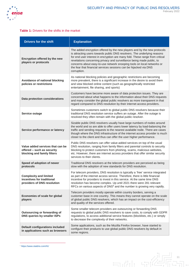

与动行 导论

# **Table 1:** Drivers for the shifts in the market

| <b>Drivers for the shift</b>                                                                  | <b>Explanation</b>                                                                                                                                                                                                                                                                                                                                                                                                                                                          |
|-----------------------------------------------------------------------------------------------|-----------------------------------------------------------------------------------------------------------------------------------------------------------------------------------------------------------------------------------------------------------------------------------------------------------------------------------------------------------------------------------------------------------------------------------------------------------------------------|
| Encryption offered by the new<br>players or protocols                                         | The added encryption offered by the new players and by the new protocols<br>is attracting users towards public DNS resolvers. The underlying reasons<br>for end user interest in encryption are many fold. These range from critical<br>revelations concerning privacy and surveillance being made public, to<br>concerns about easy-to-use network snooping tools on local networks or<br>the fear that financial services sessions can be hijacked via DNS<br>corruption. |
| Avoidance of national blocking<br>policies or restrictions                                    | As national blocking policies and geographic restrictions are becoming<br>more prevalent, there is a significant increase in the desire to avoid them<br>and view blocked online content (such as geographically restricted<br>entertainment, file sharing, and sports)                                                                                                                                                                                                     |
| Data protection considerations                                                                | Customers have become more aware of data protection issues. They are<br>concerned about what happens to the information about their DNS requests<br>and many consider the global public resolvers as more transparent in that<br>regard compared to DNS resolution by their internet access providers.                                                                                                                                                                      |
| Service outage                                                                                | Sometimes customers switch to global public DNS resolvers because their<br>traditional DNS resolution service suffers an outage. After the outage is<br>resolved they often remain with the global public resolver.                                                                                                                                                                                                                                                         |
| Service performance or latency                                                                | Sizable public DNS resolvers usually have large numbers of nodes around<br>the world and so are able to offer users lower latency by load-balancing the<br>traffic and sending requests to the nearest available node. There are cases<br>though where the DNS infrastructure of the internet access provider is much<br>closer to the client and thus can offer the user higher performance.                                                                               |
| Value added services that can be<br>offered - such as security<br>blocking and family filters | Public DNS resolvers can offer value-added services on top of the usual<br>DNS resolution, ranging from family filters and parental controls to security<br>blocking to protect customers from phishing, scams, malicious websites,<br>etc. However, there are internet access providers that offer similar security<br>services to their clients.                                                                                                                          |
| Speed of adoption of newer<br>protocols                                                       | Traditional DNS resolvers at the telecom providers are perceived as being<br>slow with the adoption of new standards for DNS resolution.                                                                                                                                                                                                                                                                                                                                    |
| <b>Complexity and limited</b><br>incentives for traditional<br>providers of DNS resolution    | For telecom providers, DNS resolution is typically a 'free' service integrated<br>as part of the internet access service. Therefore, there is little financial<br>incentive for providers to invest in this service. At the same time DNS<br>resolution has become complex. Up until 2021 there were 281 relevant<br>RFCs on various aspects of DNS <sup>6</sup> and the number is growing very rapidly.                                                                    |
| Economies of scale for global<br>players                                                      | Telecom providers mostly operate within country borders, serving a<br>customer base in one country. This means they cannot operate on the scale<br>of global public DNS resolvers, which has an impact on the cost-efficiency<br>and quality of the services offered.                                                                                                                                                                                                       |
| Outsourcing or forwarding of<br>DNS queries by smaller ISPs                                   | Some smaller telecom providers are outsourcing or forwarding DNS<br>requests to global public DNS resolvers to save costs, to comply with GDPR<br>regulations, to access additional service features (blocklists, etc.) or simply<br>to decrease the complexity of their networks.                                                                                                                                                                                          |
| <b>Default configurations included</b><br>in applications such as browsers                    | Some applications, such as the Mozilla Firefox browser, have started to<br>configure their products to use global public DNS resolvers by default in<br>some regions.                                                                                                                                                                                                                                                                                                       |

<sup>6</sup> <https://www.statdns.com/rfc/>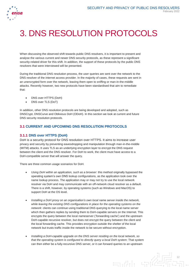

# 3. DNS RESOLUTION PROTOCOLS

When discussing the observed shift towards public DNS resolvers, it is important to present and analyse the various current and newer DNS security protocols, as these represent a significant security-related driver for this shift. In addition, the support of these protocols by the public DNS resolvers that were interviewed will be presented.

During the traditional DNS resolution process, the user queries are sent over the network to the DNS resolver of the internet access provider. In the majority of cases, these requests are sent in an unencrypted form over the network, leaving them open to sniffing or man-in-the-middle attacks. Recently however, two new protocols have been standardised that aim to remediate that:

- DNS over HTTPS (DoH)
- DNS over TLS (DoT)

In addition, other DNS resolution protocols are being developed and adopted, such as DNSCrypt, DNSCurve and Oblivious DoH (ODoH). In this section we look at current and future DNS security resolution protocols.

# **3.1 CURRENT AND UPCOMING DNS RESOLUTION PROTOCOLS**

# **3.1.1 DNS over HTTPS (DoH)**

DoH is a security protocol for DNS resolution over HTTPS. It aims to increase user privacy and security by preventing eavesdropping and manipulation through man-in-the-middle (MITM) attacks. It uses TLS as an underlying encryption layer to encrypt the DNS request between the client and the DNS resolver. For DoH to work, the client must have access to a DoH-compatible server that will answer the query.

There are three common usage scenarios for DoH.

- *Using DoH within an application, such as a browser*: this method originally bypassed the operating system's own DNS lookup configurations, as the application took over the name lookup process. The application may or may not try to use the local network resolver via DoH and may communicate with an off-network cloud resolver as a default. There is a shift, however, by operating systems (such as Windows and MacOS) to support DoH at the OS level.
- *Installing a DoH proxy on an organisation's own local name server inside the network, while leaving the existing DNS configurations in place for the operating systems on the network*: clients can continue using traditional DNS querying to the local name server which then gathers replies by sending them to DoH-capable servers on the Internet. This encrypts the query between the local nameserver ('forwarding cache') and the upstream DoH-capable recursive resolver, but does not encrypt the query between the client and the local forwarding cache. This provides encryption outside the shelter of the local network but trusts traffic inside the network to be secure without encryption.
- *Installing a DoH-capable upgrade on the DNS server residing on the local network, so that the operating system is configured to directly query a local DoH system*: That system can then either be a fully-recursive DNS server, or it can forward queries to an upstream

 $\exists$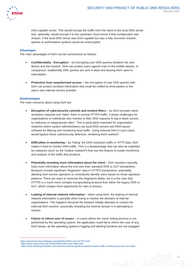

DoH-capable server. This would encrypt the traffic from the client to the local DNS server and, optionally, would encrypt it to the upstream cloud server if that configuration was chosen. If the local DNS server was DoH-capable but was a fully recursive resolver, queries to authoritative systems would be unencrypted.

#### **Advantages**

The main advantages of DoH can be summarised as follows:

- **Confidentiality - Encryption** by encrypting user DNS queries between the user device and the resolver, DoH can protect users against man-in-the-middle attacks. In comparison, traditionally DNS queries are sent in plain-text leaving them open to interception.
- **Protection from unauthorised access** the encryption of user DNS queries with DoH can protect sensitive information that could be sniffed by third-parties or the user's own internet service provider.

#### **Disadvantages**

The main concerns about using DoH are:

- **Disruption of cybersecurity controls and content filters** as DoH encrypts name resolution requests and 'hides' them in normal HTTPS traffic, it poses challenges for organisations or individuals who monitor or filter DNS requests to log or block access to malicious or inappropriate sites<sup>7</sup>. This is particularly important for organisation networks where system administrators use local DNS servers and DNS-based software for filtering and monitoring local traffic. Using external DoH in such cases would bypass these cybersecurity defences, rendering them useless<sup>8</sup>.
- **Difficulties in monitoring** by 'hiding' the DNS resolution traffic in HTTP data, DoH makes it hard to monitor DNS traffic. This is a disadvantage that can also be exploited by malwares (such as the Godlua malware<sup>9</sup>) that use this feature to evade monitoring and analysis of the traffic they produce.
- **Potentially revealing more information about the client DoH sessions naturally** have more information about the end user than standard DNS or DoT transactions. Browsers include significant 'fingerprint' data in HTTPS transactions, potentially allowing DoH service operators to consistently identify users based on those signature patterns. There are ways to minimise this fingerprint ability, but it is the case that HTTPS is a much more complex encapsulating protocol than either the legacy DNS or DoT, which creates more opportunity for risks to privacy.
- **Leaking of internal network information** when using DoH, the leaking of internal network information is possible when trying to resolve the domains of internal organisations. This happens because the browser initially attempts to contact the external DoH resolver, practically revealing the internal domain it is attempting to resolve.
- **Failure to inform user of issues** in cases where the name lookup process is not performed by the operating system, the application could fail to inform the user of any DoH issues, as the operating system's logging and alerting functions are not engaged.

انی ہے

<sup>7</sup>https://searchsecurity.techtarget.com/definition/DNS-over-HTTPS-DoH

<sup>8</sup> https://www.cyberonsecurity.no/2020/03/11/dns-over-https-doh/

<sup>9</sup> <https://www.bleepingcomputer.com/news/security/new-godlua-malware-evades-traffic-monitoring-via-dns-over-https/>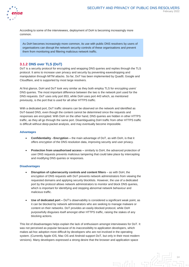

According to some of the interviewees, deployment of DoH is becoming increasingly more common.

As DoH becomes increasingly more common, its use with public DNS resolvers by users of organisations can disrupt the network security controls of these organisations and prevent them from monitoring and filtering malicious network traffic.

# **3.1.2 DNS over TLS (DoT)**

DoT is a security protocol for encrypting and wrapping DNS queries and replies through the TLS protocol. It aims to increase user privacy and security by preventing eavesdropping and manipulation through MITM attacks. So far, DoT has been implemented by Quad9, Google and Cloudflare, and is supported by most large resolvers.

At first glance, DoH and DoT look very similar as they both employ TLS for encrypting users' DNS queries. The most important difference between the two is the network port used for the DNS requests. DoT uses only port 853, while DoH uses port 443 which, as mentioned previously, is the port that is used for all other HTTPS traffic.

With a dedicated port, DoT traffic streams can be observed on the network and identified as DoT-based DNS, even though the content cannot be determined since the requests and responses are encrypted. With DoH on the other hand, DNS queries are hidden in other HTTPS traffic, as they all go through the same port. Disambiguating DoH traffic from other HTTPS traffic is difficult without deep-packet analysis, and may eventually become impossible.

#### **Advantages**

- **Confidentiality - Encryption –** the main advantage of DoT, as with DoH, is that it offers encryption of the DNS resolution data, improving security and user privacy.
- **Protection from unauthorised access –** similarly to DoH, the advanced protection of user DNS requests prevents malicious tampering that could take place by intercepting and modifying DNS queries or responses.

#### **Disadvantages**

- **Disruption of cybersecurity controls and content filters** as with DoH, the encryption of DNS requests with DoT prevents network administrators from viewing the requested domains and applying security blocklists. However, the use of a dedicated port by the protocol allows network administrators to monitor and block DNS queries, which is important for identifying and stopping abnormal network behaviour and malicious traffic.
- **Use of dedicated port –** DoT's observability is considered a significant weak point, as it can be blocked by network administrators who are seeking to manage malware or content on their networks. DoT provides an easily-blocked protocol, while DoH purposefully disguises itself amongst other HTTPS traffic, raising the stakes of any blocking actions.

This list of disadvantages helps explain the lack of enthusiasm amongst interviewees for DoT. It was not perceived as popular because of its inaccessibility to application developers, which makes ad-hoc adoption more difficult by developers who are not involved in the operating system. (Currently Apple iOS, Mac OS and Android support DoT, but only in their most modern versions). Many developers expressed a strong desire that the browser and application space

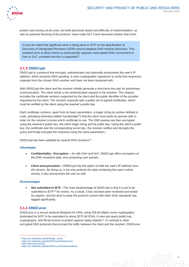

protect user privacy at all costs, but both perceived speed and difficulty of implementation, as well as potential blocking of the protocol, have made DoT a less-favoured solution than DoH.

It must be noted that significant work is being done in IETF on the specification of Discovery of Designated Resolvers (DDR) around adaptive DNS resolver discovery. This standard aims to allow clients to automatically upgrade unencrypted DNS connections to DoH or DoT, provided that this is supported<sup>15</sup>.

# **3.1.3 DNSCrypt**

DNSCrypt is a protocol that encrypts, authenticates and optionally anonymises the user's IP address, which prevents DNS spoofing. It uses cryptographic signatures to verify that responses originate from the chosen DNS resolver and have not been tampered with.

With DNSCrypt the client and the resolver initially generate a short-term key pair for preliminary communication. The client sends a non-authenticated request to the resolver. This request encodes the certificate versions supported by the client and the public identifier of the provider requested by the client. The resolver responds with a public set of signed certificates, which must be verified by the client using the resolver's public key.

Each certificate contains, apart from its basic parameters, a magic string (a number defined in code, activating otherwise hidden functionality<sup>10</sup>) that the client must prefix its queries with in order for the resolver to know which certificate to use. The DNS queries are then encrypted using the resolver's public key, the client magic string and its public key. Using the client's public key, the certificate and the corresponding secret key, the resolver verifies and decrypts the query and finally encrypts the response using the same parameters.

DNSCrypt has been adopted by several DNS resolvers<sup>11</sup>.

#### **Advantages**

- **Confidentiality - Encryption –** As with DoH and DoT, DNSCrypt offers encryption of the DNS resolution data, thus protecting user queries.
- **Client anonymisation –** DNSCrypt has the option to hide the user's IP address from the servers. By doing so, it not only protects the data containing the user's online activity, it also anonymises the user as well.

#### **Disadvantages**

• **Not submitted to IETF** –The main disadvantage of DNSCrypt is that it is yet to be submitted to IETF<sup>12</sup> for review. As a result, it has not been peer-reviewed and tested by experts, and the work to keep the protocol current with other DNS standards has lagged significantly.

#### **3.1.4 DNSCurve**

DNSCurve is a secure protocol designed for DNS, using 256-bit elliptic-curve cryptography (estimated by NIST to be equivalent to about 3072-bit RSA). It uses per-query public key cryptography, and 96-bit nonces to protect against replay attacks<sup>13</sup>. In contrast to other encrypted DNS protocols that encrypt the traffic between the client and the resolver, DNSCurve

 $\exists$ 

<sup>10</sup> https://en.wikipedia.org/wiki/Magic\_string

<sup>11</sup> https://en.wikipedia.org/wiki/DNSCrypt#Deployment

<sup>12</sup> https://dnscrypt.info/faq

<sup>13</sup> https://en.wikipedia.org/wiki/DNSCurve#Implementations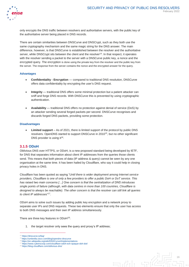

only encrypts the DNS traffic between resolvers and authoritative servers, with the public key of the authoritative server being placed in DNS records.

There are certain similarities between DNSCurve and DNSCrypt, such as they both use the same cryptography mechanism and the same magic string for the DNS answer. The main difference, however, is that DNSCurve is established between the resolver and the authoritative server, while DNSCrypt sits between the client and the resolver<sup>14</sup>. In that respect, it operates with the resolver sending a packet to the server with a DNSCurve public key, a nonce and the encrypted query. The encryption is done using the private key from the resolver and the public key from the server. The response from the server contains the nonce and the encrypted answer for the query.

#### **Advantages**

- **Confidentiality - Encryption**  compared to traditional DNS resolution, DNSCurve offers data confidentiality by encrypting the user's DNS request.
- **Integrity** traditional DNS offers some minimal protection but a patient attacker can sniff and forge DNS records. With DNSCurve this is prevented by using cryptographic authentication.
- **Availability** traditional DNS offers no protection against denial of service (DoS) by an attacker sending several forged packets per second. DNSCurve recognises and discards forged DNS packets, providing some protection.

#### **Disadvantages**

• **Limited support** – As of 2021, there is limited support of the protocol by public DNS resolvers. OpenDNS started to support DNSCurve in 2010<sup>15</sup>, but no other significant DNS provider is using it<sup>16</sup>.

### **3.1.5 ODoH**

Oblivious DNS over HTTPS, or ODoH, is a new proposed standard being developed by IETF, for DNS that separates information about client IP addresses from the queries those clients send. This means that both pieces of data (IP address & query) cannot be seen by any one organisation at the same time. It has been hailed by Cloudflare, who say it could help in closing privacy holes in DNS.

Cloudflare has been quoted as saying "*Until there is wider deployment among Internet service providers, Cloudflare is one of only a few providers to offer a public DoH or DoT service. This has raised two main concerns […] One concern is that the centralization of DNS introduces single points of failure (although, with data centres in more than 100 countries, Cloudflare is designed to always be reachable). The other concern is that the resolver can still link all queries to client IP addresses*" 17 .

ODoH aims to solve such issues by adding public key encryption and a network proxy to separate user IPs and DNS requests. These two elements ensure that only the user has access to both DNS messages and their own IP address simultaneously.

There are three key features in ODoH<sup>18</sup>:

<span id="page-16-0"></span>1. the target resolver only sees the query and proxy's IP address;



<sup>14</sup> https://dnscurve.io/faq/

<sup>15</sup> https://umbrella.cisco.com/blog/opendns-dnscurve

<sup>16</sup> https://en.wikipedia.org/wiki/DNSCurve#Implementations <sup>17</sup> https://www.cyberscoop.com/cloudflare-odoh-ech-opaque-doh-dot/

<sup>18</sup> https://blog.cloudflare.com/oblivious-dns/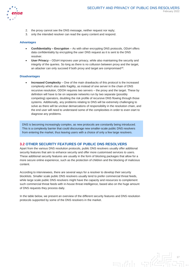

- 2. the proxy cannot see the DNS message, neither request nor reply;
- 3. only the intended resolver can read the query content and respond.

#### **Advantages**

- **Confidentiality – Encryption** As with other encrypting DNS protocols, ODoH offers data confidentiality by encrypting the user DNS request as it is sent to the DNS resolver.
- **User Privacy** ODoH improves user privacy, while also maintaining the security and integrity of the queries. So long as there is no collusion between proxy and the target, an attacker can only succeed if both proxy and target are compromised<sup>[18](#page-16-0)</sup>.

#### **Disadvantages**

• **Increased Complexity** – One of the main drawbacks of this protocol is the increased complexity which also adds fragility, as instead of one server in the chain of DNS recursive resolution, ODOH requires two servers – the proxy and the target. These by definition will have to be on separate networks run by two separate (possibly competing) operators, doubling the risk profile of recursive DNS flowing through those systems. Additionally, any problems relating to DNS will be extremely challenging to solve as there will be unclear demarcations of responsibility in the resolution chain, and the end user will need to understand some of the complexities in order to even start to diagnose any problems.

DNS is becoming increasingly complex, as new protocols are constantly being introduced. This is a complexity barrier that could discourage new smaller-scale public DNS resolvers from entering the market, thus leaving users with a choice of only a few large resolvers.

#### **3.2 OTHER SECURITY FEATURES OF PUBLIC DNS RESOLVERS**

Apart from the various DNS resolution protocols, public DNS resolvers usually offer additional security features that aim to enhance security and offer more customised services to users. These additional security features are usually in the form of blocking packages that allow for a more secure online experience, such as the protection of children and the blocking of malicious content.

According to interviewees, there are several ways for a resolver to develop their security blocklists. Smaller scale public DNS resolvers usually tend to prefer commercial threat feeds, while large scale public DNS resolvers might have the capacity and resources to complement such commercial threat feeds with in-house threat intelligence, based also on the huge amount of DNS requests they process daily.

In the table below, we present an overview of the different security features and DNS resolution protocols supported by some of the DNS resolvers in the market.

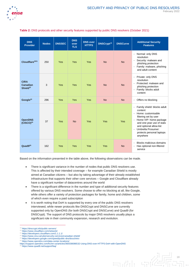

| <b>DNS</b><br><b>Provider</b>                          | <b>Nodes</b> | <b>DNSSEC</b> | <b>DNS</b><br>over<br><b>TLS</b> | <b>DNS over</b><br><b>HTTPS</b> | <b>DNSCrypt<sup>19</sup></b> | <b>DNSCurve</b> | <b>Additional Security</b><br><b>Features</b>                                                                                                                                                                                                                                                                  |
|--------------------------------------------------------|--------------|---------------|----------------------------------|---------------------------------|------------------------------|-----------------|----------------------------------------------------------------------------------------------------------------------------------------------------------------------------------------------------------------------------------------------------------------------------------------------------------------|
| Cloudflare <sup>2021</sup>                             | 250          | Yes           | <b>Yes</b>                       | Yes                             | <b>No</b>                    | <b>No</b>       | Normal: only DNS<br>÷,<br>resolution<br>Security: malware and<br>$\blacksquare$<br>phishing protection<br>- Family: malware, phishing<br>and adult content                                                                                                                                                     |
| <b>CIRA</b><br><b>Canadian</b><br>Shield <sup>22</sup> | 3            | Yes           | Yes                              | Yes                             | <b>No</b>                    | <b>No</b>       | Private: only DNS<br>$\blacksquare$<br>resolution<br>Protected: malware and<br>$\blacksquare$<br>phishing protection<br>Family: blocks adult<br>$\blacksquare$<br>content                                                                                                                                      |
| Google <sup>23</sup>                                   | 296          | Yes           | <b>Yes</b>                       | <b>Yes</b>                      | <b>No</b>                    | <b>No</b>       | Offers no blocking<br>$\blacksquare$                                                                                                                                                                                                                                                                           |
| <b>OpenDNS</b><br>(CISCO) <sup>24</sup>                | 37           | Yes           | <b>No</b>                        | <b>Yes</b>                      | Yes                          | <b>Yes</b>      | Family shield: blocks adult<br>$\blacksquare$<br>content<br>Home: customisable<br>$\blacksquare$<br>filtering set by user<br>Home VIP: home package<br>$\blacksquare$<br>and one-year use of stats<br>and optional allow-list<br>Umbrella Prosumer:<br>$\blacksquare$<br>protects personal laptops<br>anywhere |
| Quad $9^{25}$                                          | 162          | Yes           | <b>Yes</b>                       | Yes                             | <b>Yes</b>                   | <b>No</b>       | Blocks malicious domains<br>$\overline{\phantom{a}}$<br>Has optional non-filtered<br>$\blacksquare$<br>service                                                                                                                                                                                                 |

#### **Table 2:** DNS protocols and other security features supported by public DNS resolvers (October 2021)

Based on the information presented in the table above, the following observations can be made.

- There is significant variance in the number of nodes that public DNS resolvers use. This is affected by their intended coverage – for example Canadian Shield is mostly aimed at Canadian citizens – but also by taking advantage of their already established infrastructure that supports their other core services – Google and Cloudflare already have a significant number of datacentres around the world
- There is a significant difference in the number and type of additional security features offered by various DNS resolvers. Some choose to offer no blocking at all, like Google, while others offer a variety of protection packages for family, home and children, some of which even require a paid subscription
- It is worth noting that DoH is supported by every one of the public DNS resolvers interviewed, while newer protocols like DNSCrypt and DNSCurve are currently supported only by OpenDNS (for both DNSCrypt and DNSCurve) and Quad9 (for DNSCrypt). The support of DNS protocols by major DNS resolvers usually plays a significant role in their community expansion, research and evolution.

 $\exists$ 

 $\overline{a}$ 

- <sup>22</sup> <https://www.cira.ca/cybersecurity-services/canadian-shield/> <sup>23</sup> <https://developers.google.com/speed/public-dns/docs/intro>
- <sup>24</sup> <https://www.opendns.com/data-center-locations/>

<sup>25</sup> <https://www.quad9.net/support/faq/>

<sup>19</sup> <https://dnscrypt.info/public-servers/>

<sup>20</sup> <https://www.cloudflare.com/network/>

<sup>21</sup> <https://developers.cloudflare.com/1.1.1.1/>

<https://support.opendns.com/hc/en-us/articles/360038086532-Using-DNS-over-HTTPS-DoH-with-OpenDNS>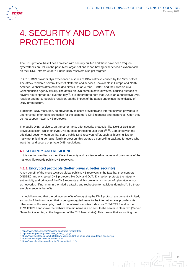

# 4. SECURITY AND DATA PROTECTION

The DNS protocol hasn't been created with security built-in and there have been frequent cyberattacks on DNS in the past. Most organisations report having experienced a cyberattack on their DNS infrastructure<sup>26</sup>. Public DNS resolvers also get targeted.

In 2016, DNS provider Dyn experienced a series of DDoS attacks caused by the Mirai botnet. The attack rendered several Internet platforms and services unavailable in Europe and North America. Websites affected included sites such as Airbnb, Twitter, and the Swedish Civil Contingencies Agency (MSB). The attack on Dyn came in several waves, causing outages of several hours spread out over the day<sup>27</sup>. It is important to note that Dyn is an authoritative DNS resolver and not a recursive resolver, but the impact of the attack underlines the criticality of DNS infrastructure.

Traditional DNS resolution, as provided by telecom providers and internet service providers, is unencrypted, offering no protection for the customer's DNS requests and responses. Often they do not support newer DNS protocols.

The public DNS resolvers, on the other hand, offer security protocols, like DoH or DoT (see previous section) which encrypt DNS queries, protecting user traffic<sup>28</sup><sup>29</sup>. Combined with the additional security features that some public DNS resolvers offer, such as blocking lists for malware, phishing domains, family protection, this creates a compelling package for users who want fast and secure or private DNS resolutions.

# **4.1 SECURITY AND RESILIENCE**

In this section we discuss the different security and resilience advantages and drawbacks of the market shift towards public DNS resolvers.

### **4.1.1 Encrypted protocols (better privacy, better security)**

A key benefit of the move towards global public DNS resolvers is the fact that they support DNSSEC and encrypted DNS protocols like DoH and DoT. Encryption protects the integrity, authenticity and privacy of the DNS requests and this prevents a number of cyberattacks such as network sniffing, man-in-the-middle attacks and redirection to malicious domains<sup>30</sup>. So there are clear security benefits.

It should be noted that the privacy benefits of encrypting the DNS protocol are currently limited, as much of the information that is being encrypted leaks to the internet access providers via other means. For example, most of the internet websites today use TLS/HTTPS and in the TLS/HTTPS handshake the website domain name is also sent to the server in clear text (Server Name Indication tag at the beginning of the TLS handshake). This means that encrypting the

<sup>29</sup> https://whatismyipaddress.com/switch-dns



<sup>26</sup> https://www.efficientip.com/news/idc-dns-threat-report-2020/

<sup>&</sup>lt;sup>27</sup> https://en.wikipedia.org/wiki/DDoS\_attack\_on\_Dyn<br><sup>28</sup> https://www.howtogeek.com/664608/why-you-shouldnt-be-using-your-isps-default-dns-server/

<sup>30</sup> https://www.cloudflare.com/learning/dns/what-is-1.1.1.1/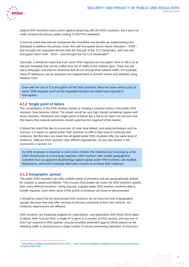

original DNS resolution query works against tampering with the DNS resolution, but it does not really increase the privacy (when visiting TLS/HTTPs websites).

It must be noted that internet companies like Cloudflare and Mozilla are implementing new standards to address this privacy issue, first with Encrypted Server Name Indication – ESNI – that encrypts the requested domain from the first part of the TLS handshake, and now with Encrypted Client Hello  $-$  ECH  $-$  that encrypts the full TLS handshake<sup>31</sup>.

Secondly, it should be noted that even when DNS requests are encrypted, there is still a lot of relevant metadata that can be sniffed from the IP traffic at the network layer. There are still many webpages and internet resources that do not encrypt their network traffic. For example, many IP addresses can be analysed and mapped back to domain names and websites using Reverse DNS.

Even with the use of TLS encryption for the DNS protocols, there are cases where parts of users' DNS requests (such as the requested domain) are leaked and exposed to interception.

#### **4.1.2 Single point of failure**

The consolidation in the DNS resolver market is creating a situation where a few public DNS resolvers have become critical. The impact would be very high should something happen with these resolvers. Resilience and single points of failure are a risk to be taken into account and this means that national authorities should supervise this segment of the market.

It should be noted that due to economies of scale (see below), and using techniques such as Anycast, it is easier for global public DNS resolvers to offer a high level of continuity and resilience. But this does not mean that all global public DNS resolvers offer the same level of resilience. Different DNS resolvers take different approaches, as was also shown in the scorecards in section 3.3.

As DNS resolution is essential to view online content, the resilience and redundancy of the DNS infrastructure is enormously important. DNS resolvers with smaller geographical footprints have an apparent disadvantage against global-scale DNS resolvers with multiple datacentres, and need to develop alternative controls to increase their resilience.

#### **4.1.3 Geographic spread**

 $\overline{a}$ 

The public DNS resolvers can offer multiple points of presence that are geographically spread, for reasons of speed and failover. This ensures that people can reach the DNS resolvers quickly from many different locations. Using Anycast, a global public DNS resolver would be able to handle requests, even when some of the points of presence are down or disconnected.

It should be noted that the local private DNS resolvers do not have this kind of geographic spread. Because they only offer services to devices connected to their own network, the resilience requirements are different.

DNS resolvers are frequently targeted by cyberattacks, and particularly DNS flood DDoS types of attack. With Anycast DNS, a single IP is given to a number of DNS servers, and any one of them can respond to DNS queries. Anycast provides protection against DDoS attacks as the attacking traffic is spread across a large number of servers preventing saturation of resources.

 $\exists$ 

<sup>31</sup> <https://blog.cloudflare.com/encrypted-client-hello/> & [https://www.securityweek.com/firefox-improves-privacy-protections](https://www.securityweek.com/firefox-improves-privacy-protections-encrypted-client-hello)[encrypted-client-hello](https://www.securityweek.com/firefox-improves-privacy-protections-encrypted-client-hello)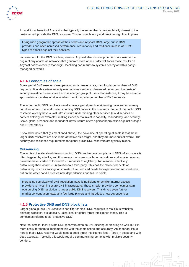

An additional benefit of Anycast is that typically the server that is geographically closest to the customer will provide the DNS response. This reduces latency and provides significant uptime

Using wide geographic spread of their nodes and Anycast DNS, large public DNS providers can offer increased performance, redundancy and resilience in case of DDoS types of attacks against their services.

improvement for the DNS resolving service. Anycast also focuses potential risk closer to the origin of any attack, as networks that generate more attack traffic will focus those results on Anycast nodes closer to that origin, localising bad results to systems nearby or within badlymanaged networks.

### **4.1.4 Economies of scale**

Some global DNS resolvers are operating on a greater scale, handling large numbers of DNS requests. At scale certain security mechanisms can be implemented better, and the costs of security investments are spread across a larger group of users. For instance, it may be easier to spot certain anomalies or attacks when monitoring a large number of DNS requests.

The larger public DNS resolvers usually have a global reach, maintaining datacentres in many countries around the world, often counting DNS nodes in the hundreds. Some of the public DNS resolvers already have a vast infrastructure underpinning other services (cloud services or content delivery for example), making it cheaper to invest in capacity, redundancy, and security. Scale, global presence and redundant infrastructure offers significant protection against outages and DDoS attacks.

It should be noted that (as mentioned above), the downside of operating at scale is that these larger DNS resolvers are also more attractive as a target, and they are more critical overall. The security and resilience requirements for global public DNS resolvers are typically higher.

#### **Outsourcing**

Economies of scale also drive outsourcing. DNS has become complex and DNS infrastructure is often targeted by attacks, and this means that some smaller organisations and smaller telecom providers have started to forward DNS requests to a global public resolver, effectively outsourcing their local DNS resolution to a third-party. This has the obvious benefits of outsourcing, such as savings on infrastructure, reduced needs for expertise and reduced risks, but on the other hand it creates new dependencies and failure points.

Increasing complexity of DNS resolution make it inefficient for smaller internet access providers to invest in secure DNS infrastructure. These smaller providers sometimes start outsourcing DNS resolution to larger public DNS resolvers. This drives even further market concentration towards a few large players and introduces new dependencies.

#### **4.1.5 Protective DNS and DNS block lists**

Larger global public DNS resolvers can filter or block DNS requests to malicious websites, phishing websites, etc. at scale, using local or global threat intelligence feeds. This is sometimes referred to as 'protective DNS'.

Note that smaller local private DNS resolvers often do DNS filtering or blocking as well, but it is more costly for them to implement this with the same scope and accuracy. An important issue here is that a DNS resolver would need a good threat intelligence feed  $-$  large in scope and with good accuracy. Typically this would require commercial agreements with multiple security vendors.

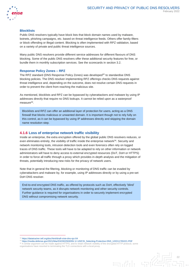

#### **Blocklists**

Public DNS resolvers typically have block lists that block domain names used by malware, botnets, phishing campaigns, etc. based on threat intelligence feeds. Others offer family-filters or block offending or illegal content. Blocking is often implemented with RPZ validation, based on a variety of private and public threat intelligence sources.

Many public DNS resolvers provide different service addresses for different flavours of DNS blocking. Some of the public DNS resolvers offer these additional security features for free, or bundle them in monthly subscription services. See the scorecards in section 3.2.

#### **Response Policy Zones – RPZ**

The RPZ standard (DNS Response Policy Zones) was developed<sup>32</sup> to standardise DNS blocking policies. The DNS resolver implementing RPZ offerings checks DNS requests against threat intelligence and, depending on the outcome, does not resolve certain DNS requests in order to prevent the client from reaching the malicious site.

As mentioned, blocklists and RPZ can be bypassed by cyberattackers and malware by using IP addresses directly that require no DNS lookups. It cannot be relied upon as a waterproof measure<sup>33</sup>.

Blocklists and RPZ can offer an additional layer of protection for users, acting as a DNS firewall that blocks malicious or unwanted domain. It is important though not to rely fully on this control, as it can be bypassed by using IP addresses directly and skipping the domain name resolution step.

#### **4.1.6 Loss of enterprise network traffic visibility**

Inside an enterprise, the extra encryption offered by the global public DNS resolvers reduces, or even eliminates entirely, the visibility of traffic inside the enterprise network<sup>34</sup>. Security and network monitoring tools, intrusion detection tools and even forensics often rely on logged traces of DNS traffic. These tools will have to be adapted to rely on other information or network administrators will have to deny access to external encrypted resources (DoT, DoH or HTTPS) in order to force all traffic through a proxy which provides in-depth analysis and the mitigation of threats, potentially introducing new risks for the privacy of network users.

Note that in general the filtering, blocking or monitoring of DNS traffic can be evaded by cyberattackers and malware by, for example, using IP addresses directly or by using a pre-set DoH DNS resolver.

End-to-end encrypted DNS traffic, as offered by protocols such as DoH, effectively 'blind' network security teams, as it disrupts network monitoring and other security controls. Further guidance is required for organisations in order to securely implement encrypted DNS without compromising network security.

 $\overline{a}$ 

 $\exists$ 

<sup>32</sup> <https://datatracker.ietf.org/doc/html/draft-vixie-dns-rpz-04>

<sup>33</sup> [https://media.defense.gov/2021/Mar/03/2002593055/-1/-1/0/CSI\\_Selecting-Protective-DNS\\_UOO11765221.PDF](https://media.defense.gov/2021/Mar/03/2002593055/-1/-1/0/CSI_Selecting-Protective-DNS_UOO11765221.PDF)

<sup>&</sup>lt;sup>34</sup> A similar argument can be made against HTTPS, and to retain network visibility of the encrypted HTTP protocol, some organisations have resorted to terminating the TLS connections with a local proxy.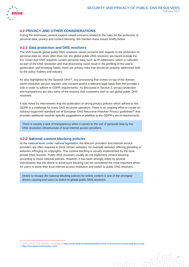

### **4.2 PRIVACY AND OTHER CONSIDERATIONS**

During the interviews, several experts raised concerns related to the rules for the protection of personal data, privacy and content blocking. We mention these issues briefly below.

#### **4.2.1 Data protection and DNS resolvers**

The shift towards global public DNS resolvers raises concerns with regards to the protection of personal data as, more often than not, the global public DNS resolvers are based outside the EU. Given that DNS requests contain personal data, such as IP addresses, which is collected as part of the DNS resolution and that processing could result in the profiling of the user's geolocation and browsing habits, there are privacy risks that should be properly addressed both by the policy makers and industry.

As also highlighted by the Spanish DPA $35$ , any processing that comes on top of the domain name resolution service requires user consent and/or a relevant legal basis from the provider's side in order to adhere to GDPR requirements. As discussed in Section 2, privacy protection and transparency are also some of the reasons that customers start to use global public DNS resolvers.

It was noted by interviewees that the publication of strong privacy policies which adhere to the GDPR is a challenge for many DNS recursive operators. There is an ongoing effort to create an industry-supported standard set of European DNS Recursive Resolver Privacy guidelines<sup>36</sup> that provides additional resolver-specific suggestions in addition to the GDPR's set of requirements.

There is usually a lack of transparency when it comes to the use of personal data by the DNS resolution infrastructure of local internet access providers.

#### **4.2.2 National content blocking policies**

At the national level, under national legislation, the telecom providers and internet service providers are often required to block certain websites, for example websites offering gambling or websites infringing on copyrights. This content blocking is usually implemented by the local private DNS resolver. Public DNS resolvers usually do not implement content blocking according to these national policies. However, it has been strongly noted by several interviewees that the desire to avoid such blocking can be considered the most important driver for users to leave their local internet access resolution and switch to public DNS resolvers.

Desire to escape the national blocking policies for online content is one of the strongest drivers causing end users to switch to global public DNS resolvers.

 $\exists$ 

<sup>36</sup> <https://europeanresolverpolicy.com/>

<sup>35</sup> AEPD (2019) DNS PRIVACY Available at<https://www.aepd.es/sites/default/files/2019-12/nota-tecnica-privacidad-dns-en.pdf>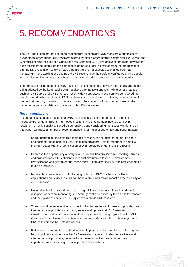

# 5. RECOMMENDATIONS

The DNS resolution market has been shifting from local private DNS resolvers at the telecom providers to larger public DNS resolvers offered by either larger internet companies like Google and Cloudflare or smaller ones like Quad9 and the Canadian CIRA. We analysed the major drivers that push for this trend, both from the perspective of the end user, as well as from the organisations offering DNS resolution, and we noted that this trend is not expected to change soon, as increasingly more applications use public DNS resolvers as their default configuration and people want to view online content that is blocked by national policies employed by their countries.

The protocol implementation of DNS resolution is also changing. New DNS protocols are rapidly being adopted by the large public DNS resolvers offering DoH and DoT, while other protocols, such as DNSCurve and DNSCrypt are not as widely supported. In addition, we considered the benefits and drawbacks of public DNS resolvers such as scale and resilience, the disruption of the network security controls of organisations and the concerns of many experts around the protection of personal data and privacy at public DNS resolvers.

#### **Recommendations**

In general, it should be stressed that DNS resolution is a critical component of the digital infrastructure, underpinning all internet connections and that the data involved with DNS resolution is highly sensitive. Based on our analysis and considering the issues we identified in this paper, we make a number of recommendations for national authorities and policy makers.

- Share information and establish methods to measure and monitor the market share and customer base of public DNS resolution providers. This is important to help EU Member States with the identification of DNS providers under the NIS Directive.
- Decrease the dependency on very few DNS resolution providers by providing citizens and organisations with sufficient and robust alternatives to ensure and promote diversification and guarantee that these meet EU privacy, security, and resilience goals (such as DNS4EU).
- Monitor the introduction of default configurations of DNS resolvers in software applications and devices, as this can have a quick and major impact on the criticality of a DNS resolver.
- National authorities should issue specific guidelines for organisations to address the disruption of network monitoring and security controls caused by the shift in the market and the uptake of encrypted DNS queries via public DNS resolvers.
- There should be an incentive (such as funding for resilience) for telecom providers and internet access providers to expand, secure and update their DNS resolver infrastructure, instead of outsourcing their requirements to major global public DNS resolvers. This will avoid a situation where many end-users rely on a few large public DNS resolvers for their internet access.
- Policy makers and national authorities should pay particular attention to enforcing the blocking of online content via the DNS resolution services of telecom providers and internet service providers, because for end-users blocked online content is an important driver for shifting to global public DNS resolvers.

24  $\exists$